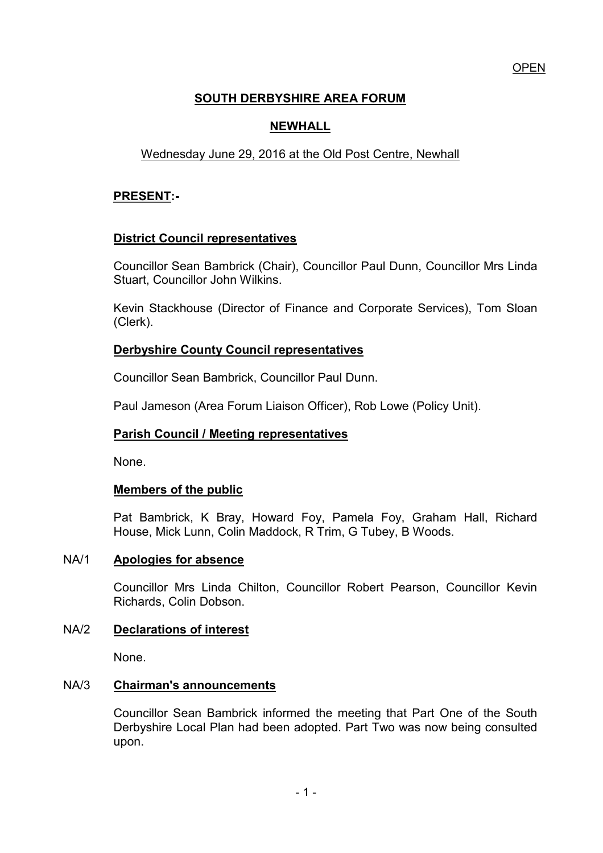# **SOUTH DERBYSHIRE AREA FORUM**

# **NEWHALL**

# Wednesday June 29, 2016 at the Old Post Centre, Newhall

## **PRESENT:-**

## **District Council representatives**

 Councillor Sean Bambrick (Chair), Councillor Paul Dunn, Councillor Mrs Linda Stuart, Councillor John Wilkins.

Kevin Stackhouse (Director of Finance and Corporate Services), Tom Sloan (Clerk).

### **Derbyshire County Council representatives**

Councillor Sean Bambrick, Councillor Paul Dunn.

Paul Jameson (Area Forum Liaison Officer), Rob Lowe (Policy Unit).

## **Parish Council / Meeting representatives**

None.

### **Members of the public**

 Pat Bambrick, K Bray, Howard Foy, Pamela Foy, Graham Hall, Richard House, Mick Lunn, Colin Maddock, R Trim, G Tubey, B Woods.

### NA/1 **Apologies for absence**

 Councillor Mrs Linda Chilton, Councillor Robert Pearson, Councillor Kevin Richards, Colin Dobson.

### NA/2 **Declarations of interest**

None.

### NA/3 **Chairman's announcements**

Councillor Sean Bambrick informed the meeting that Part One of the South Derbyshire Local Plan had been adopted. Part Two was now being consulted upon.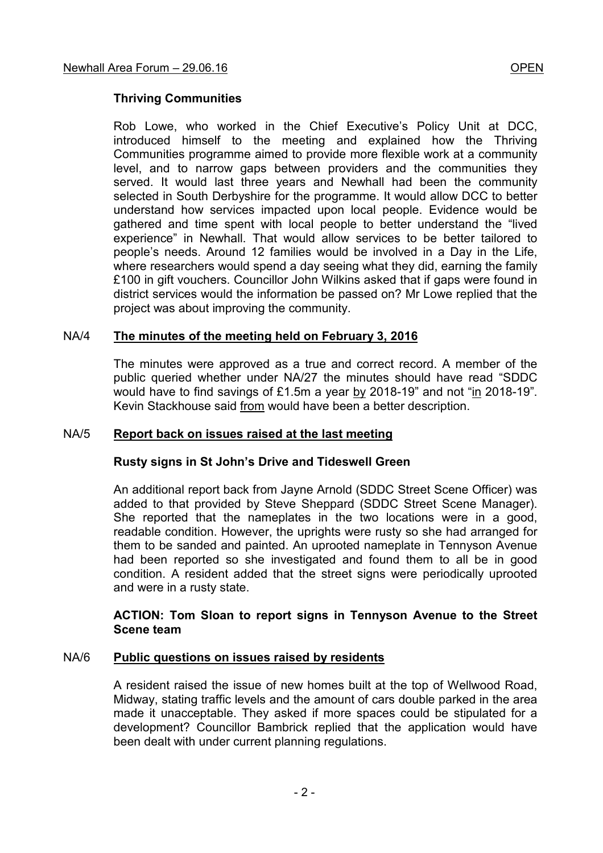### **Thriving Communities**

Rob Lowe, who worked in the Chief Executive's Policy Unit at DCC, introduced himself to the meeting and explained how the Thriving Communities programme aimed to provide more flexible work at a community level, and to narrow gaps between providers and the communities they served. It would last three years and Newhall had been the community selected in South Derbyshire for the programme. It would allow DCC to better understand how services impacted upon local people. Evidence would be gathered and time spent with local people to better understand the "lived experience" in Newhall. That would allow services to be better tailored to people's needs. Around 12 families would be involved in a Day in the Life, where researchers would spend a day seeing what they did, earning the family £100 in gift vouchers. Councillor John Wilkins asked that if gaps were found in district services would the information be passed on? Mr Lowe replied that the project was about improving the community.

### NA/4 **The minutes of the meeting held on February 3, 2016**

 The minutes were approved as a true and correct record. A member of the public queried whether under NA/27 the minutes should have read "SDDC would have to find savings of £1.5m a year by 2018-19" and not "in 2018-19". Kevin Stackhouse said from would have been a better description.

### NA/5 **Report back on issues raised at the last meeting**

#### **Rusty signs in St John's Drive and Tideswell Green**

An additional report back from Jayne Arnold (SDDC Street Scene Officer) was added to that provided by Steve Sheppard (SDDC Street Scene Manager). She reported that the nameplates in the two locations were in a good, readable condition. However, the uprights were rusty so she had arranged for them to be sanded and painted. An uprooted nameplate in Tennyson Avenue had been reported so she investigated and found them to all be in good condition. A resident added that the street signs were periodically uprooted and were in a rusty state.

#### **ACTION: Tom Sloan to report signs in Tennyson Avenue to the Street Scene team**

#### NA/6 **Public questions on issues raised by residents**

 A resident raised the issue of new homes built at the top of Wellwood Road, Midway, stating traffic levels and the amount of cars double parked in the area made it unacceptable. They asked if more spaces could be stipulated for a development? Councillor Bambrick replied that the application would have been dealt with under current planning regulations.